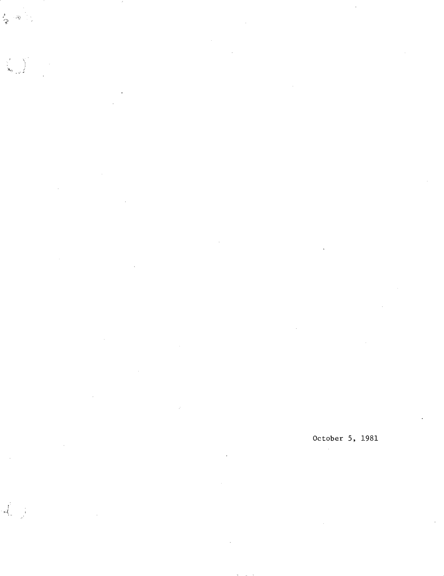参考的

÷,  $\hat{\boldsymbol{\epsilon}}$ 

 $\alpha$ 

J.

 $\frac{1}{\sqrt{2}}$  $\frac{1}{2}$ 

÷,

l,

 $\mathcal{A}^{\mathcal{A}}$ 

October 5, 1981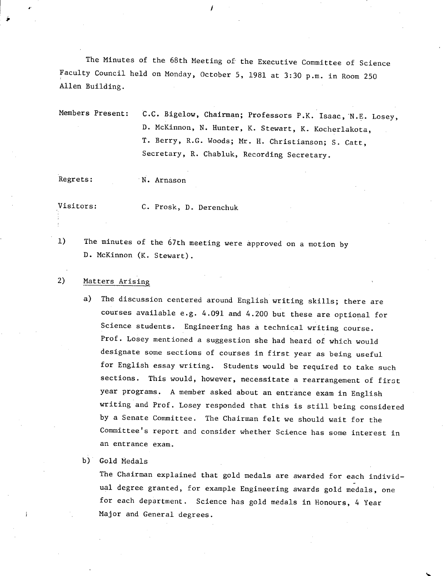The Minutes of the 68th Meeting of the Executive Committee of Science Faculty Council held on Monday, October 5, 1981 at 3:30 p.m. in Room 250 Allen Building.

Members Present: C.C. Bigelow, Chairman; Professors P.K. Isaac, N.E. Losey, D. McKinnon, N. Hunter, K. Stewart, K. Kocherlakota, T. Berry, R.G. Woods; Mr. H. Christianson; S. Catt, Secretary, R. Chabluk, Recording Secretary.

Regrets: N. Arnason

 $\boldsymbol{\cdot}$ 

Visitors: C. Prosk, D. Derenchuk

 $1)$ The minutes of the 67th meeting were approved on a motion by D. McKinnon (K. Stewart).

#### 2) Matters Arising

 $\mathcal{A}$  is a set of the set of the set of the set of the set of the set of the set of the set of the set of the set of the set of the set of the set of the set of the set of the set of the set of the set of the set of th

a) The discussion centered around English writing skills; there are courses available e.g. 4.091 and 4.200 but these are optional for Science students. Engineering has a technical writing course. Prof. Losey mentioned a suggestion she had heard of which would designate some sections of courses in first year as being useful for English essay writing. Students would be required to take such sections. This would, however, necessitate a rearrangement of first year programs. A member asked about an entrance exam in English writing and Prof. Losey responded that this is still being considered by a Senate Committee. The Chairman felt we should wait for the Committee's report and consider whether Science has some interest in an entrance exam.

b) Gold Medals

The Chairman explained that gold medals are awarded for each individual degree granted, for example Engineering awards gold medals, one for each department. Science has gold medals in Honours, 4 Year Major and General degrees.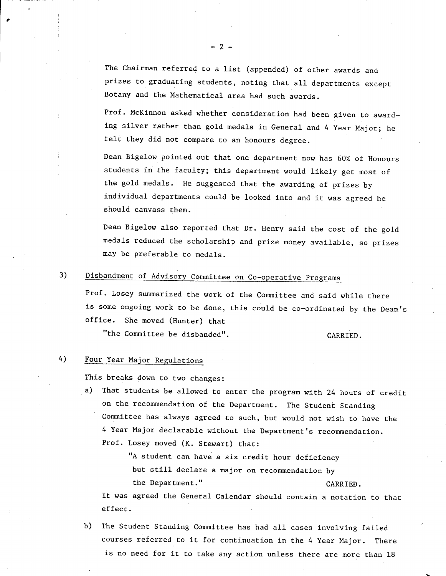The Chairman referred to a list (appended) of other awards and prizes to graduating students, noting that all departments except Botany and the Mathematical area had such awards.

-2-

Prof. McKinnon asked whether consideration had been given to awarding silver rather than gold medals in General and 4 Year Major; he felt they did not compare to an honours degree.

Dean Bigelow pointed out that one department now has 60% of Honours students in the faculty; this department would likely get most of the gold medals. He suggested that the awarding of prizes by individual departments could be looked into and it was agreed he should canvass them.

Dean Bigelow also reported that Dr. Henry said the cost of the gold medals reduced the scholarship and prize money available, so prizes may be preferable to medals.

# Disbandment of Advisory Committee on Co-operative Programs

Prof. Losey summarized the work of the Committee and said while there is some ongoing work to be done, this could be co-ordinated by the Dean's office. She moved (Hunter) that

"the Committee be disbanded". CARRIED.

#### 4) Four Year Major Regulations

This breaks down to two changes:

a) That students be allowed to enter the program with 24 hours of credit on the recommendation of the Department. The Student Standing Committee has always agreed to such, but would not wish to have the 4 Year Major declarable without the Department's recommendation. Prof. Losey moved (K. Stewart) that:

> "A student can have a six credit hour deficiency but still declare a major on recommendation by the Department." CARRIED.

It was agreed the General Calendar should contain a notation to that effect.

b) The Student Standing Committee has had all cases involving failed courses referred to it for continuation in the 4 Year Major. There is no need for it to take any action unless there are more than 18

3)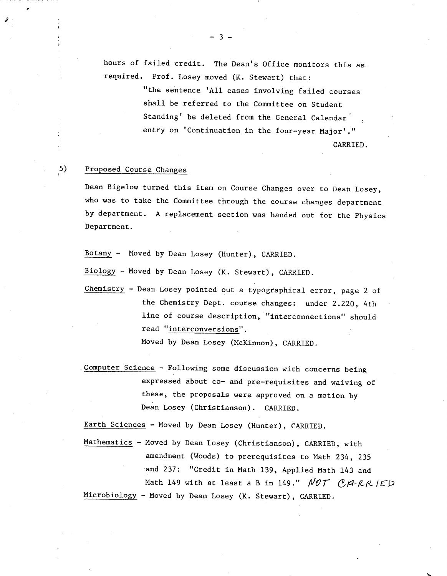hours of failed credit. The Dean's Office monitors this as required. Prof. Losey moved (K. Stewart) that:

> "the sentence 'All cases involving failed courses shall be referred to the Committee on Student Standing' be deleted from the General Calendar entry on 'Continuation in the four-year Major'."

> > CARRIED.

## 5) Proposed Course Changes

Dean Bigelow turned this item on Course Changes over to Dean Losey, who was to take the Committee through the course changes department by department. A replacement section was handed out for the Physics Department.

Botany - Moved by Dean Losey (Hunter), CARRIED.

Biology - Moved by Dean Losey (K. Stewart), CARRIED.

Chemistry - Dean Losey pointed out a typographical error, page 2 of the Chemistry Dept. course changes: under 2.220, 4th line of course description, "interconnections" should read "interconversjons".

Moved by Dean Losey (McKinnon), CARRIED.

Computer Science - Following some discussion with concerns being expressed about co- and pre-requisites and waiving of these, the proposals were approved on a motion by Dean Losey (Christianson). CARRIED.

Earth Sciences - Moved by Dean Losey (Hunter), CARRIED.

Mathematics - Moved by Dean Losey (Christianson), CARRIED, with amendment (Woods) to prerequisites to Math 234, 235 and 237: "Credit in Math 139, Applied Math 143 and Math 149 with at least a B in 149."  $NOT$   $OAP-RR$  IED Microbiology - Moved by Dean Losey (K. Stewart), CARRIED.

 $3 -$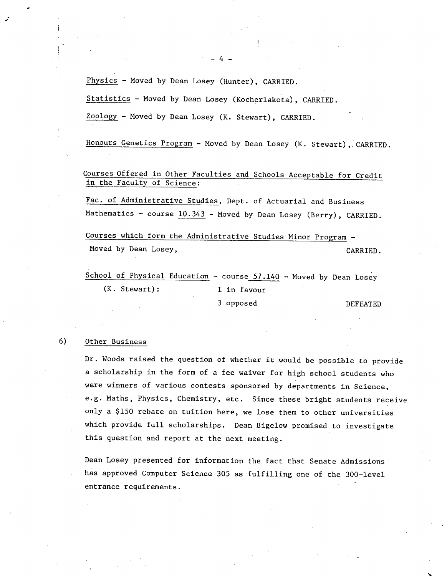Physics - Moved by Dean Losey (Hunter), CARRIED.

Statistics - Moved by Dean Losey (Kocherlakota), CARRIED.

Zoology - Moved by Dean Losey (K. Stewart), CARRIED.

Honours Genetics Program - Moved by Dean Losey (K. Stewart), CARRIED.

Courses Offered in Other Faculties and Schools Acceptable for Credit in the Faculty of Science:

Fac. of Administrative Studies, Dept. of Actuarial and Business Mathematics - course  $10.343$  - Moved by Dean Losey (Berry), CARRIED.

Courses which form the Administrative Studies Minor Program - Moved by Dean Losey,  $CARRIED$ .

School of Physical Education - course  $57.140$  - Moved by Dean Losey (K. Stewart): 1 in favour

3 opposed DEFEATED

## 6) Other Business

Dr. Woods raised the question of whether it would be possible to provide a scholarship in the form of a fee waiver for high school students who were winners of various contests sponsored by departments in Science, e.g. Maths, Physics, Chemistry, etc. Since these bright students receive only a \$150 rebate on tuition here, we lose them to other universities which provide full scholarships. Dean Bigelow promised to investigate this question and report at the next meeting.

Dean Losey presented for information the fact that Senate Admissions has approved Computer Science 305 as fulfilling one of the 300-level entrance requirements.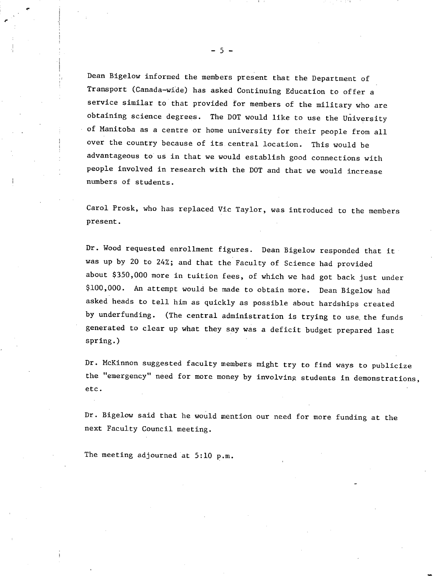Dean Bigelow informed the members present that the Department of Transport (Canada-wide) has asked Continuing Education to offer a service similar to that provided for members of the military who are obtaining science degrees. The DOT would like to use the University of Manitoba as a centre or home university for their people from all over the country because of its central location. This would be advantageous to us in that we would establish good connections with people involved in research with the DOT and that we would increase numbers of students.

Carol Prosk, who has replaced Vic Taylor, was introduced to the members present.

Dr. Wood requested enrollment figures. Dean Bigelow responded that it was up by 20 to 24%; and that the Faculty of Science had provided about \$350,000 more in tuition fees, of which we had got back just under \$100,000. An attempt would be made to obtain more. Dean Bigelow had asked heads to tell him as quickly as possible about hardships created by underfunding. (The central administration is trying to use, the funds generated to clear up what they say was a deficit budget prepared last spring.)

Dr. McKinnon suggested faculty members might try to find ways to publicize the "emergency" need for more money by involving students in demonstrations, etc.

Dr. Bigelow said that he would mention our need for more funding at the next Faculty Council meeting.

The meeting adjourned at 5:10 p.m.

-5-